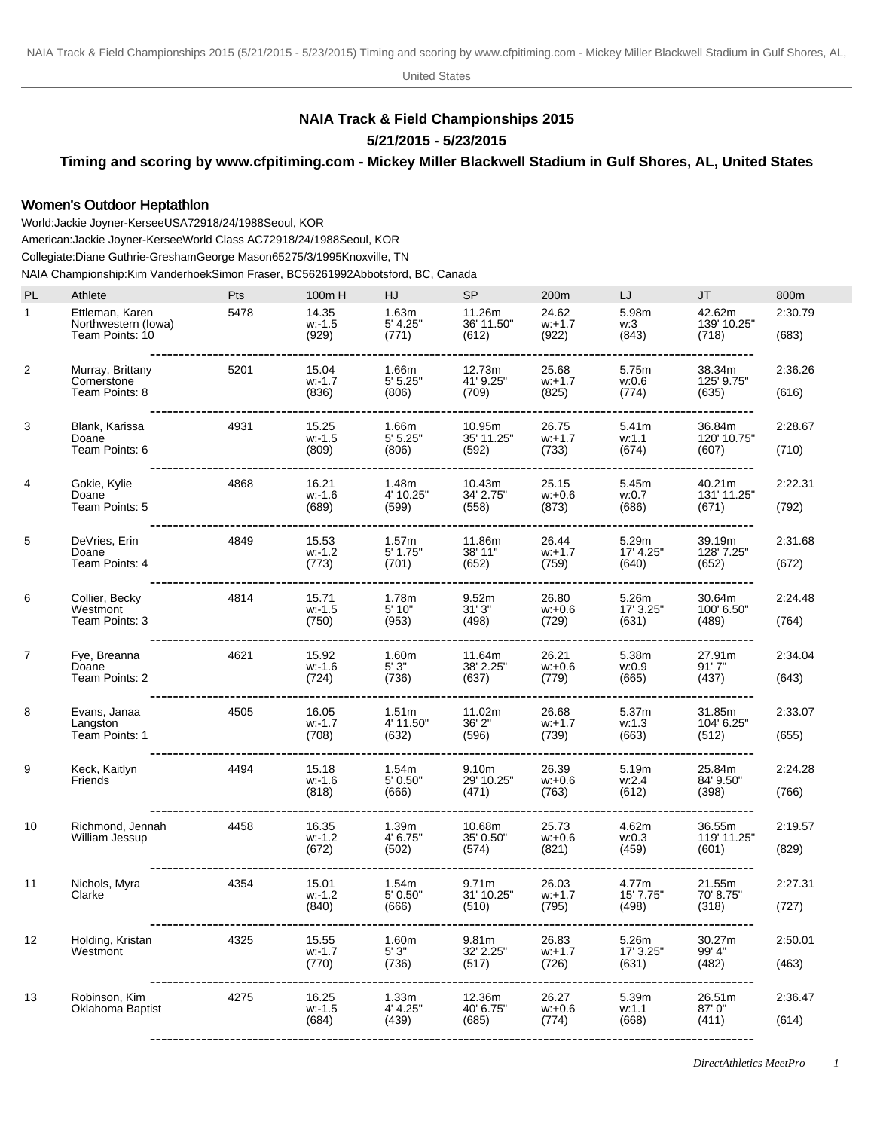United States

## **NAIA Track & Field Championships 2015**

**5/21/2015 - 5/23/2015**

**Timing and scoring by www.cfpitiming.com - Mickey Miller Blackwell Stadium in Gulf Shores, AL, United States**

## Women's Outdoor Heptathlon

World: Jackie Joyner-Kersee USA 7291 8/24/1988 Seoul, KOR American: Jackie Joyner-Kersee World Class AC 7291 8/24/1988 Seoul, KOR Collegiate: Diane Guthrie-Gresham George Mason 6527 5/3/1995 Knoxville, TN

NAIA Championship: Kim Vanderhoek Simon Fraser, BC 5626 1992Abbotsford, BC, Canada

| <b>PL</b>    | Athlete                                                   | Pts  | 100m H                                    | HJ                                      | <b>SP</b>                                     | 200m                                                      | LJ                                                    | JT                             | 800m             |
|--------------|-----------------------------------------------------------|------|-------------------------------------------|-----------------------------------------|-----------------------------------------------|-----------------------------------------------------------|-------------------------------------------------------|--------------------------------|------------------|
| $\mathbf{1}$ | Ettleman, Karen<br>Northwestern (lowa)<br>Team Points: 10 | 5478 | 14.35<br>$w - 1.5$<br>(929)               | 1.63m<br>5' 4.25"<br>(771)              | 11.26m<br>36' 11.50"<br>(612)                 | 24.62<br>$w: +1.7$<br>(922)                               | 5.98m<br>w:3<br>(843)                                 | 42.62m<br>139' 10.25"<br>(718) | 2:30.79<br>(683) |
| 2            | Murray, Brittany<br>Cornerstone<br>Team Points: 8         | 5201 | 15.04<br>$w - 1.7$<br>(836)               | 1.66m<br>5' 5.25"<br>(806)              | 12.73m<br>41' 9.25"<br>(709)                  | 25.68<br>$w: +1.7$<br>(825)<br>-------------------------- | 5.75m<br>w:0.6<br>(774)<br>--------------             | 38.34m<br>125' 9.75"<br>(635)  | 2:36.26<br>(616) |
| 3            | Blank, Karissa<br>Doane<br>Team Points: 6                 | 4931 | 15.25<br>w: 1.5<br>(809)                  | 1.66m<br>5' 5.25"<br>(806)              | 10.95m<br>35' 11.25"<br>(592)                 | 26.75<br>$w: +1.7$<br>(733)                               | 5.41m<br>w:1.1<br>(674)                               | 36.84m<br>120' 10.75"<br>(607) | 2:28.67<br>(710) |
| 4            | Gokie, Kylie<br>Doane<br>Team Points: 5                   | 4868 | 16.21<br>w: 1.6<br>(689)<br>------------- | 1.48m<br>4' 10.25"<br>(599)             | 10.43m<br>34' 2.75"<br>(558)                  | 25.15<br>$w + 0.6$<br>(873)                               | 5.45m<br>w:0.7<br>(686)<br>-------------------------- | 40.21m<br>131' 11.25"<br>(671) | 2:22.31<br>(792) |
| 5            | DeVries, Erin<br>Doane<br>Team Points: 4                  | 4849 | 15.53<br>w: 1.2<br>(773)                  | 1.57m<br>$5'$ 1.75"<br>(701)            | 11.86m<br>38' 11"<br>(652)                    | 26.44<br>$w: +1.7$<br>(759)                               | 5.29m<br>17' 4.25"<br>(640)                           | 39.19m<br>128' 7.25"<br>(652)  | 2:31.68<br>(672) |
| 6            | Collier, Becky<br>Westmont<br>Team Points: 3              | 4814 | 15.71<br>$w - 1.5$<br>(750)               | 1.78m<br>5' 10"<br>(953)                | 9.52m<br>31'3"<br>(498)                       | 26.80<br>$w: +0.6$<br>(729)                               | 5.26m<br>17' 3.25"<br>(631)                           | 30.64m<br>100' 6.50"<br>(489)  | 2:24.48<br>(764) |
| 7            | Fye, Breanna<br>Doane<br>Team Points: 2                   | 4621 | 15.92<br>$w - 1.6$<br>(724)               | 1.60m<br>5'3"<br>(736)                  | 11.64m<br>38' 2.25"<br>(637)<br>------------- | 26.21<br>$w: +0.6$<br>(779)<br>-------------              | 5.38m<br>w:0.9<br>(665)<br>-------------------------  | 27.91m<br>91'7''<br>(437)      | 2:34.04<br>(643) |
| 8            | Evans, Janaa<br>Langston<br>Team Points: 1                | 4505 | 16.05<br>w: 1.7<br>(708)                  | 1.51 <sub>m</sub><br>4' 11.50"<br>(632) | 11.02m<br>36' 2"<br>(596)                     | 26.68<br>$w: +1.7$<br>(739)                               | 5.37m<br>w:1.3<br>(663)                               | 31.85m<br>104' 6.25"<br>(512)  | 2:33.07<br>(655) |
| 9            | Keck, Kaitlyn<br>Friends                                  | 4494 | 15.18<br>w: 1.6<br>(818)                  | 1.54m<br>5' 0.50"<br>(666)              | 9.10 <sub>m</sub><br>29' 10.25"<br>(471)      | 26.39<br>$w: +0.6$<br>(763)                               | 5.19m<br>w:2.4<br>(612)                               | 25.84m<br>84' 9.50"<br>(398)   | 2:24.28<br>(766) |
| 10           | Richmond, Jennah<br>William Jessup                        | 4458 | 16.35<br>$w - 1.2$<br>(672)               | 1.39m<br>4' 6.75"<br>(502)              | 10.68m<br>35' 0.50"<br>(574)                  | 25.73<br>$w: +0.6$<br>(821)                               | 4.62m<br>w:0.3<br>(459)                               | 36.55m<br>119' 11.25"<br>(601) | 2:19.57<br>(829) |
| 11           | Nichols, Myra<br>Clarke                                   | 4354 | 15.01<br>w: 1.2<br>(840)                  | 1.54m<br>5' 0.50"<br>(666)              | 9.71 <sub>m</sub><br>31' 10.25"<br>(510)      | 26.03<br>$w: +1.7$<br>(795)                               | 4.77m<br>15' 7.75"<br>(498)                           | 21.55m<br>70' 8.75"<br>(318)   | 2:27.31<br>(727) |
| 12           | Holding, Kristan<br>Westmont                              | 4325 | 15.55<br>w: 1.7<br>(770)                  | 1.60m<br>5' 3"<br>(736)                 | 9.81m<br>32' 2.25"<br>(517)                   | 26.83<br>$W: +1.7$<br>(726)                               | 5.26m<br>17' 3.25"<br>(631)                           | 30.27m<br>99' 4"<br>(482)      | 2:50.01<br>(463) |
| 13           | Robinson, Kim<br>Oklahoma Baptist                         | 4275 | 16.25<br>$w - 1.5$<br>(684)               | 1.33m<br>4' 4.25"<br>(439)              | 12.36m<br>40' 6.75"<br>(685)                  | 26.27<br>$w + 0.6$<br>(774)                               | 5.39m<br>w:1.1<br>(668)                               | 26.51m<br>87'0"<br>(411)       | 2:36.47<br>(614) |
|              |                                                           |      |                                           |                                         |                                               |                                                           |                                                       |                                |                  |